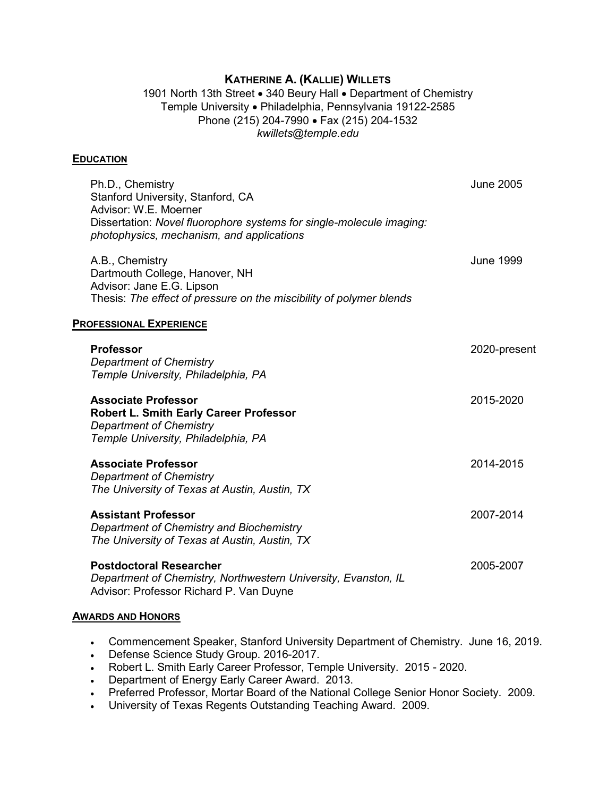## **KATHERINE A. (KALLIE) WILLETS**

1901 North 13th Street • 340 Beury Hall • Department of Chemistry Temple University • Philadelphia, Pennsylvania 19122-2585 Phone (215) 204-7990 • Fax (215) 204-1532 *kwillets@temple.edu*

#### **EDUCATION**

| Ph.D., Chemistry<br>Stanford University, Stanford, CA<br>Advisor: W.E. Moerner<br>Dissertation: Novel fluorophore systems for single-molecule imaging:<br>photophysics, mechanism, and applications | <b>June 2005</b> |
|-----------------------------------------------------------------------------------------------------------------------------------------------------------------------------------------------------|------------------|
| A.B., Chemistry<br>Dartmouth College, Hanover, NH<br>Advisor: Jane E.G. Lipson<br>Thesis: The effect of pressure on the miscibility of polymer blends                                               | <b>June 1999</b> |
| <b>PROFESSIONAL EXPERIENCE</b>                                                                                                                                                                      |                  |
| <b>Professor</b><br><b>Department of Chemistry</b><br>Temple University, Philadelphia, PA                                                                                                           | 2020-present     |
| <b>Associate Professor</b><br><b>Robert L. Smith Early Career Professor</b><br><b>Department of Chemistry</b><br>Temple University, Philadelphia, PA                                                | 2015-2020        |
| <b>Associate Professor</b><br><b>Department of Chemistry</b><br>The University of Texas at Austin, Austin, TX                                                                                       | 2014-2015        |
| <b>Assistant Professor</b><br>Department of Chemistry and Biochemistry<br>The University of Texas at Austin, Austin, TX                                                                             | 2007-2014        |
| <b>Postdoctoral Researcher</b><br>Department of Chemistry, Northwestern University, Evanston, IL<br>Advisor: Professor Richard P. Van Duyne                                                         | 2005-2007        |

#### **AWARDS AND HONORS**

- Commencement Speaker, Stanford University Department of Chemistry. June 16, 2019.
- Defense Science Study Group. 2016-2017.
- Robert L. Smith Early Career Professor, Temple University. 2015 2020.
- Department of Energy Early Career Award. 2013.
- Preferred Professor, Mortar Board of the National College Senior Honor Society. 2009.
- University of Texas Regents Outstanding Teaching Award. 2009.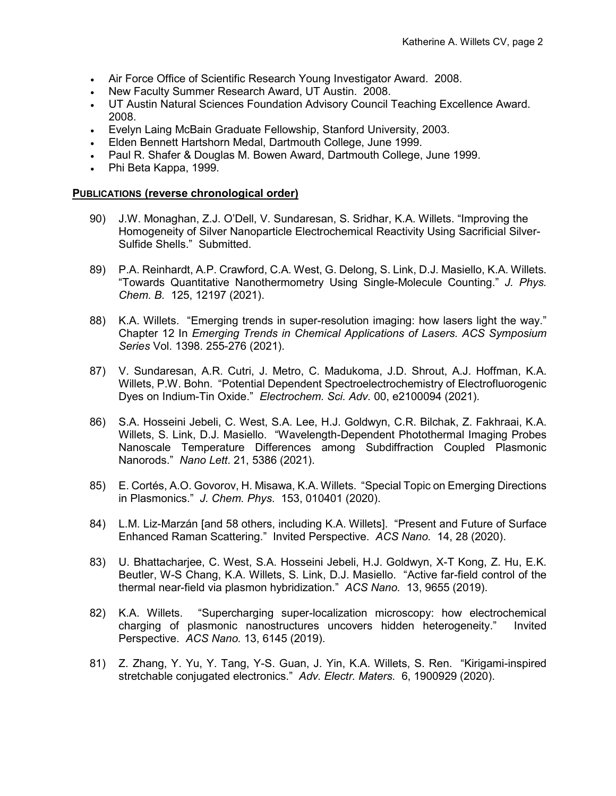- Air Force Office of Scientific Research Young Investigator Award. 2008.
- New Faculty Summer Research Award, UT Austin. 2008.
- UT Austin Natural Sciences Foundation Advisory Council Teaching Excellence Award. 2008.
- Evelyn Laing McBain Graduate Fellowship, Stanford University, 2003.
- Elden Bennett Hartshorn Medal, Dartmouth College, June 1999.
- Paul R. Shafer & Douglas M. Bowen Award, Dartmouth College, June 1999.
- Phi Beta Kappa, 1999.

#### **PUBLICATIONS (reverse chronological order)**

- 90) J.W. Monaghan, Z.J. O'Dell, V. Sundaresan, S. Sridhar, K.A. Willets. "Improving the Homogeneity of Silver Nanoparticle Electrochemical Reactivity Using Sacrificial Silver-Sulfide Shells." Submitted.
- 89) P.A. Reinhardt, A.P. Crawford, C.A. West, G. Delong, S. Link, D.J. Masiello, K.A. Willets. "Towards Quantitative Nanothermometry Using Single-Molecule Counting." *J. Phys. Chem. B.* 125, 12197 (2021).
- 88) K.A. Willets. "Emerging trends in super-resolution imaging: how lasers light the way." Chapter 12 In *Emerging Trends in Chemical Applications of Lasers. ACS Symposium Series* Vol. 1398. 255-276 (2021).
- 87) V. Sundaresan, A.R. Cutri, J. Metro, C. Madukoma, J.D. Shrout, A.J. Hoffman, K.A. Willets, P.W. Bohn. "Potential Dependent Spectroelectrochemistry of Electrofluorogenic Dyes on Indium-Tin Oxide." *Electrochem. Sci. Adv.* 00, e2100094 (2021).
- 86) S.A. Hosseini Jebeli, C. West, S.A. Lee, H.J. Goldwyn, C.R. Bilchak, Z. Fakhraai, K.A. Willets, S. Link, D.J. Masiello. "Wavelength-Dependent Photothermal Imaging Probes Nanoscale Temperature Differences among Subdiffraction Coupled Plasmonic Nanorods." *Nano Lett*. 21, 5386 (2021).
- 85) E. Cortés, A.O. Govorov, H. Misawa, K.A. Willets. "Special Topic on Emerging Directions in Plasmonics." *J. Chem. Phys*. 153, 010401 (2020).
- 84) L.M. Liz-Marzán [and 58 others, including K.A. Willets]. "Present and Future of Surface Enhanced Raman Scattering." Invited Perspective. *ACS Nano.* 14, 28 (2020).
- 83) U. Bhattacharjee, C. West, S.A. Hosseini Jebeli, H.J. Goldwyn, X-T Kong, Z. Hu, E.K. Beutler, W-S Chang, K.A. Willets, S. Link, D.J. Masiello. "Active far-field control of the thermal near-field via plasmon hybridization." *ACS Nano.* 13, 9655 (2019).
- 82) K.A. Willets. "Supercharging super-localization microscopy: how electrochemical charging of plasmonic nanostructures uncovers hidden heterogeneity." Invited Perspective. *ACS Nano.* 13, 6145 (2019).
- 81) Z. Zhang, Y. Yu, Y. Tang, Y-S. Guan, J. Yin, K.A. Willets, S. Ren. "Kirigami-inspired stretchable conjugated electronics." *Adv. Electr. Maters.* 6, 1900929 (2020).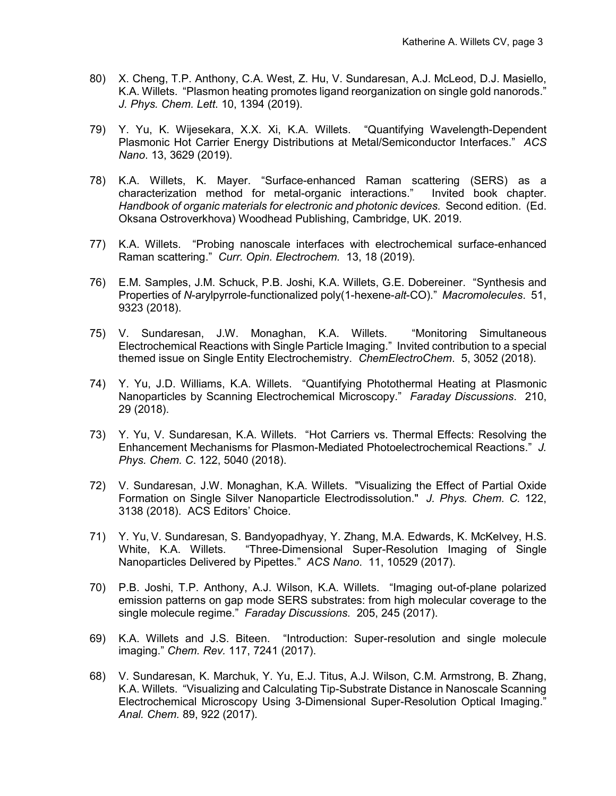- 80) X. Cheng, T.P. Anthony, C.A. West, Z. Hu, V. Sundaresan, A.J. McLeod, D.J. Masiello, K.A. Willets. "Plasmon heating promotes ligand reorganization on single gold nanorods." *J. Phys. Chem. Lett*. 10, 1394 (2019).
- 79) Y. Yu, K. Wijesekara, X.X. Xi, K.A. Willets. "Quantifying Wavelength-Dependent Plasmonic Hot Carrier Energy Distributions at Metal/Semiconductor Interfaces." *ACS Nano*. 13, 3629 (2019).
- 78) K.A. Willets, K. Mayer. "Surface-enhanced Raman scattering (SERS) as a characterization method for metal-organic interactions." Invited book chapter. *Handbook of organic materials for electronic and photonic devices.* Second edition.(Ed. Oksana Ostroverkhova) Woodhead Publishing, Cambridge, UK. 2019.
- 77) K.A. Willets. "Probing nanoscale interfaces with electrochemical surface-enhanced Raman scattering." *Curr. Opin. Electrochem.* 13, 18 (2019).
- 76) E.M. Samples, J.M. Schuck, P.B. Joshi, K.A. Willets, G.E. Dobereiner. "Synthesis and Properties of *N*-arylpyrrole-functionalized poly(1-hexene-*alt*-CO)." *Macromolecules*. 51, 9323 (2018).
- 75) V. Sundaresan, J.W. Monaghan, K.A. Willets. "Monitoring Simultaneous Electrochemical Reactions with Single Particle Imaging." Invited contribution to a special themed issue on Single Entity Electrochemistry. *ChemElectroChem*. 5, 3052 (2018).
- 74) Y. Yu, J.D. Williams, K.A. Willets. "Quantifying Photothermal Heating at Plasmonic Nanoparticles by Scanning Electrochemical Microscopy." *Faraday Discussions*. 210, 29 (2018).
- 73) Y. Yu, V. Sundaresan, K.A. Willets. "Hot Carriers vs. Thermal Effects: Resolving the Enhancement Mechanisms for Plasmon-Mediated Photoelectrochemical Reactions." *J. Phys. Chem. C*. 122, 5040 (2018).
- 72) V. Sundaresan, J.W. Monaghan, K.A. Willets. "Visualizing the Effect of Partial Oxide Formation on Single Silver Nanoparticle Electrodissolution." *J. Phys. Chem. C.* 122, 3138 (2018). ACS Editors' Choice.
- 71) Y. Yu, V. Sundaresan, S. Bandyopadhyay, Y. Zhang, M.A. Edwards, K. McKelvey, H.S. White, K.A. Willets. "Three-Dimensional Super-Resolution Imaging of Single Nanoparticles Delivered by Pipettes." *ACS Nano*. 11, 10529 (2017).
- 70) P.B. Joshi, T.P. Anthony, A.J. Wilson, K.A. Willets. "Imaging out-of-plane polarized emission patterns on gap mode SERS substrates: from high molecular coverage to the single molecule regime." *Faraday Discussions.* 205, 245 (2017).
- 69) K.A. Willets and J.S. Biteen. "Introduction: Super-resolution and single molecule imaging." *Chem. Rev.* 117, 7241 (2017).
- 68) V. Sundaresan, K. Marchuk, Y. Yu, E.J. Titus, A.J. Wilson, C.M. Armstrong, B. Zhang, K.A. Willets. "Visualizing and Calculating Tip-Substrate Distance in Nanoscale Scanning Electrochemical Microscopy Using 3-Dimensional Super-Resolution Optical Imaging." *Anal. Chem.* 89, 922 (2017)*.*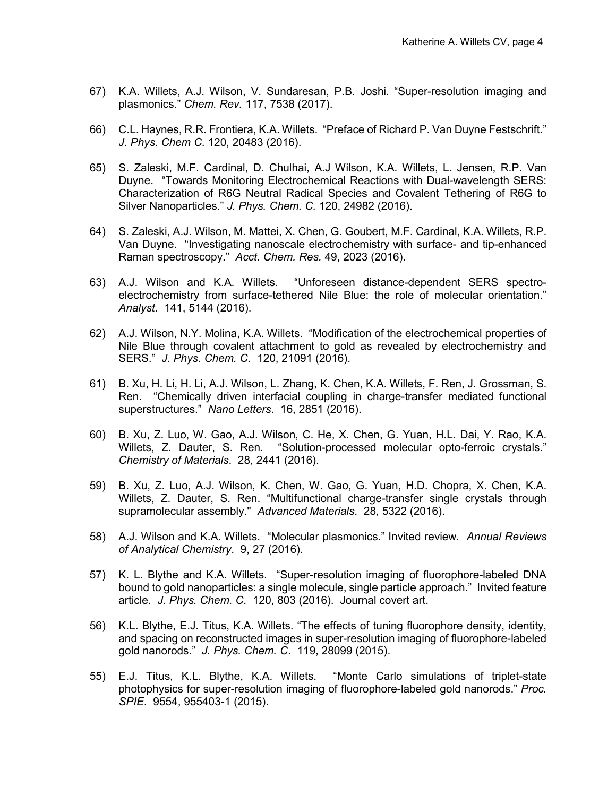- 67) K.A. Willets, A.J. Wilson, V. Sundaresan, P.B. Joshi. "Super-resolution imaging and plasmonics." *Chem. Rev.* 117, 7538 (2017).
- 66) C.L. Haynes, R.R. Frontiera, K.A. Willets. "Preface of Richard P. Van Duyne Festschrift." *J. Phys. Chem C*. 120, 20483 (2016).
- 65) S. Zaleski, M.F. Cardinal, D. Chulhai, A.J Wilson, K.A. Willets, L. Jensen, R.P. Van Duyne. "Towards Monitoring Electrochemical Reactions with Dual-wavelength SERS: Characterization of R6G Neutral Radical Species and Covalent Tethering of R6G to Silver Nanoparticles." *J. Phys. Chem. C.* 120, 24982 (2016).
- 64) S. Zaleski, A.J. Wilson, M. Mattei, X. Chen, G. Goubert, M.F. Cardinal, K.A. Willets, R.P. Van Duyne. "Investigating nanoscale electrochemistry with surface- and tip-enhanced Raman spectroscopy." *Acct. Chem. Res.* 49, 2023 (2016).
- 63) A.J. Wilson and K.A. Willets. "Unforeseen distance-dependent SERS spectroelectrochemistry from surface-tethered Nile Blue: the role of molecular orientation." *Analyst*. 141, 5144 (2016).
- 62) A.J. Wilson, N.Y. Molina, K.A. Willets. "Modification of the electrochemical properties of Nile Blue through covalent attachment to gold as revealed by electrochemistry and SERS." *J. Phys. Chem. C*. 120, 21091 (2016).
- 61) B. Xu, H. Li, H. Li, A.J. Wilson, L. Zhang, K. Chen, K.A. Willets, F. Ren, J. Grossman, S. Ren. "Chemically driven interfacial coupling in charge-transfer mediated functional superstructures." *Nano Letters*. 16, 2851 (2016).
- 60) B. Xu, Z. Luo, W. Gao, A.J. Wilson, C. He, X. Chen, G. Yuan, H.L. Dai, Y. Rao, K.A. Willets, Z. Dauter, S. Ren. "Solution-processed molecular opto-ferroic crystals." *Chemistry of Materials*. 28, 2441 (2016).
- 59) B. Xu, Z. Luo, A.J. Wilson, K. Chen, W. Gao, G. Yuan, H.D. Chopra, X. Chen, K.A. Willets, Z. Dauter, S. Ren. "Multifunctional charge-transfer single crystals through supramolecular assembly." *Advanced Materials*. 28, 5322 (2016).
- 58) A.J. Wilson and K.A. Willets. "Molecular plasmonics." Invited review. *Annual Reviews of Analytical Chemistry*. 9, 27 (2016).
- 57) K. L. Blythe and K.A. Willets. "Super-resolution imaging of fluorophore-labeled DNA bound to gold nanoparticles: a single molecule, single particle approach." Invited feature article. *J. Phys. Chem. C*. 120, 803 (2016). Journal covert art.
- 56) K.L. Blythe, E.J. Titus, K.A. Willets. "The effects of tuning fluorophore density, identity, and spacing on reconstructed images in super-resolution imaging of fluorophore-labeled gold nanorods." *J. Phys. Chem. C*. 119, 28099 (2015).
- 55) E.J. Titus, K.L. Blythe, K.A. Willets. "Monte Carlo simulations of triplet-state photophysics for super-resolution imaging of fluorophore-labeled gold nanorods." *Proc. SPIE*. 9554, 955403-1 (2015).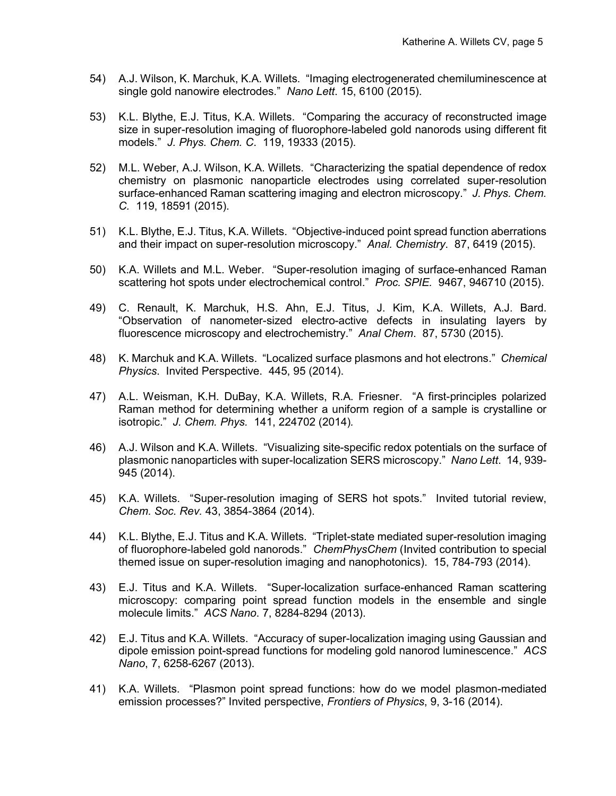- 54) A.J. Wilson, K. Marchuk, K.A. Willets. "Imaging electrogenerated chemiluminescence at single gold nanowire electrodes." *Nano Lett*. 15, 6100 (2015).
- 53) K.L. Blythe, E.J. Titus, K.A. Willets. "Comparing the accuracy of reconstructed image size in super-resolution imaging of fluorophore-labeled gold nanorods using different fit models." *J. Phys. Chem. C*. 119, 19333 (2015).
- 52) M.L. Weber, A.J. Wilson, K.A. Willets. "Characterizing the spatial dependence of redox chemistry on plasmonic nanoparticle electrodes using correlated super-resolution surface-enhanced Raman scattering imaging and electron microscopy." *J. Phys. Chem. C.* 119, 18591 (2015).
- 51) K.L. Blythe, E.J. Titus, K.A. Willets. "Objective-induced point spread function aberrations and their impact on super-resolution microscopy." *Anal. Chemistry*. 87, 6419 (2015).
- 50) K.A. Willets and M.L. Weber. "Super-resolution imaging of surface-enhanced Raman scattering hot spots under electrochemical control." *Proc. SPIE.* 9467, 946710 (2015).
- 49) C. Renault, K. Marchuk, H.S. Ahn, E.J. Titus, J. Kim, K.A. Willets, A.J. Bard. "Observation of nanometer-sized electro-active defects in insulating layers by fluorescence microscopy and electrochemistry." *Anal Chem*. 87, 5730 (2015).
- 48) K. Marchuk and K.A. Willets. "Localized surface plasmons and hot electrons." *Chemical Physics*. Invited Perspective. 445, 95 (2014).
- 47) A.L. Weisman, K.H. DuBay, K.A. Willets, R.A. Friesner. "A first-principles polarized Raman method for determining whether a uniform region of a sample is crystalline or isotropic." *J. Chem. Phys.* 141, 224702 (2014)*.*
- 46) A.J. Wilson and K.A. Willets. "Visualizing site-specific redox potentials on the surface of plasmonic nanoparticles with super-localization SERS microscopy." *Nano Lett*. 14, 939- 945 (2014).
- 45) K.A. Willets. "Super-resolution imaging of SERS hot spots." Invited tutorial review, *Chem. Soc. Rev.* 43, 3854-3864 (2014).
- 44) K.L. Blythe, E.J. Titus and K.A. Willets. "Triplet-state mediated super-resolution imaging of fluorophore-labeled gold nanorods." *ChemPhysChem* (Invited contribution to special themed issue on super-resolution imaging and nanophotonics). 15, 784-793 (2014).
- 43) E.J. Titus and K.A. Willets. "Super-localization surface-enhanced Raman scattering microscopy: comparing point spread function models in the ensemble and single molecule limits." *ACS Nano*. 7, 8284-8294 (2013).
- 42) E.J. Titus and K.A. Willets. "Accuracy of super-localization imaging using Gaussian and dipole emission point-spread functions for modeling gold nanorod luminescence." *ACS Nano*, 7, 6258-6267 (2013).
- 41) K.A. Willets. "Plasmon point spread functions: how do we model plasmon-mediated emission processes?" Invited perspective, *Frontiers of Physics*, 9, 3-16 (2014).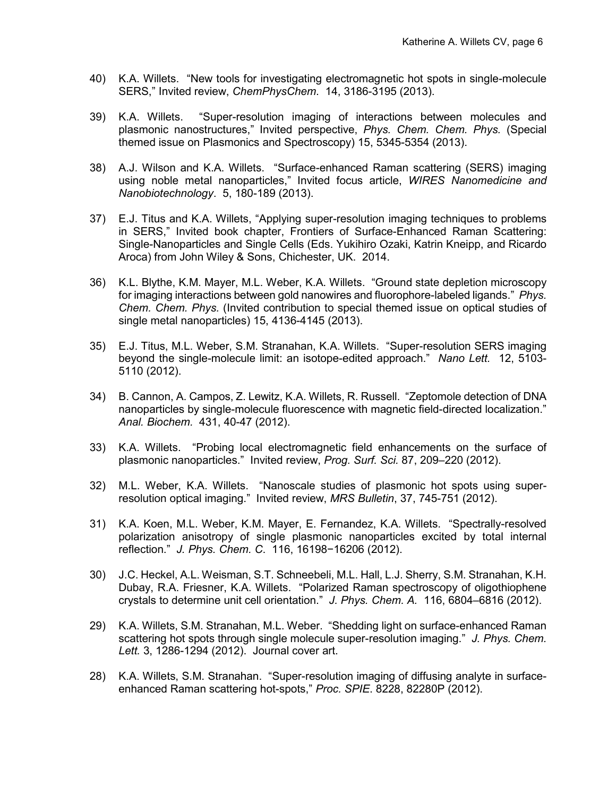- 40) K.A. Willets. "New tools for investigating electromagnetic hot spots in single-molecule SERS," Invited review, *ChemPhysChem*. 14, 3186-3195 (2013).
- 39) K.A. Willets. "Super-resolution imaging of interactions between molecules and plasmonic nanostructures," Invited perspective, *Phys. Chem. Chem. Phys.* (Special themed issue on Plasmonics and Spectroscopy) 15, 5345-5354 (2013).
- 38) A.J. Wilson and K.A. Willets. "Surface-enhanced Raman scattering (SERS) imaging using noble metal nanoparticles," Invited focus article, *WIRES Nanomedicine and Nanobiotechnology*. 5, 180-189 (2013).
- 37) E.J. Titus and K.A. Willets, "Applying super-resolution imaging techniques to problems in SERS," Invited book chapter, Frontiers of Surface-Enhanced Raman Scattering: Single-Nanoparticles and Single Cells (Eds. Yukihiro Ozaki, Katrin Kneipp, and Ricardo Aroca) from John Wiley & Sons, Chichester, UK. 2014.
- 36) K.L. Blythe, K.M. Mayer, M.L. Weber, K.A. Willets. "Ground state depletion microscopy for imaging interactions between gold nanowires and fluorophore-labeled ligands." *Phys. Chem. Chem. Phys.* (Invited contribution to special themed issue on optical studies of single metal nanoparticles) 15, 4136-4145 (2013).
- 35) E.J. Titus, M.L. Weber, S.M. Stranahan, K.A. Willets. "Super-resolution SERS imaging beyond the single-molecule limit: an isotope-edited approach." *Nano Lett.* 12, 5103- 5110 (2012).
- 34) B. Cannon, A. Campos, Z. Lewitz, K.A. Willets, R. Russell. "Zeptomole detection of DNA nanoparticles by single-molecule fluorescence with magnetic field-directed localization." *Anal. Biochem.* 431, 40-47 (2012).
- 33) K.A. Willets. "Probing local electromagnetic field enhancements on the surface of plasmonic nanoparticles." Invited review, *Prog. Surf. Sci.* 87, 209–220 (2012).
- 32) M.L. Weber, K.A. Willets. "Nanoscale studies of plasmonic hot spots using superresolution optical imaging." Invited review, *MRS Bulletin*, 37, 745-751 (2012).
- 31) K.A. Koen, M.L. Weber, K.M. Mayer, E. Fernandez, K.A. Willets. "Spectrally-resolved polarization anisotropy of single plasmonic nanoparticles excited by total internal reflection." *J. Phys. Chem. C*. 116, 16198−16206 (2012).
- 30) J.C. Heckel, A.L. Weisman, S.T. Schneebeli, M.L. Hall, L.J. Sherry, S.M. Stranahan, K.H. Dubay, R.A. Friesner, K.A. Willets. "Polarized Raman spectroscopy of oligothiophene crystals to determine unit cell orientation." *J. Phys. Chem. A.* 116, 6804–6816 (2012).
- 29) K.A. Willets, S.M. Stranahan, M.L. Weber. "Shedding light on surface-enhanced Raman scattering hot spots through single molecule super-resolution imaging." *J. Phys. Chem. Lett.* 3, 1286-1294 (2012). Journal cover art.
- 28) K.A. Willets, S.M. Stranahan. "Super-resolution imaging of diffusing analyte in surfaceenhanced Raman scattering hot-spots," *Proc. SPIE*. 8228, 82280P (2012).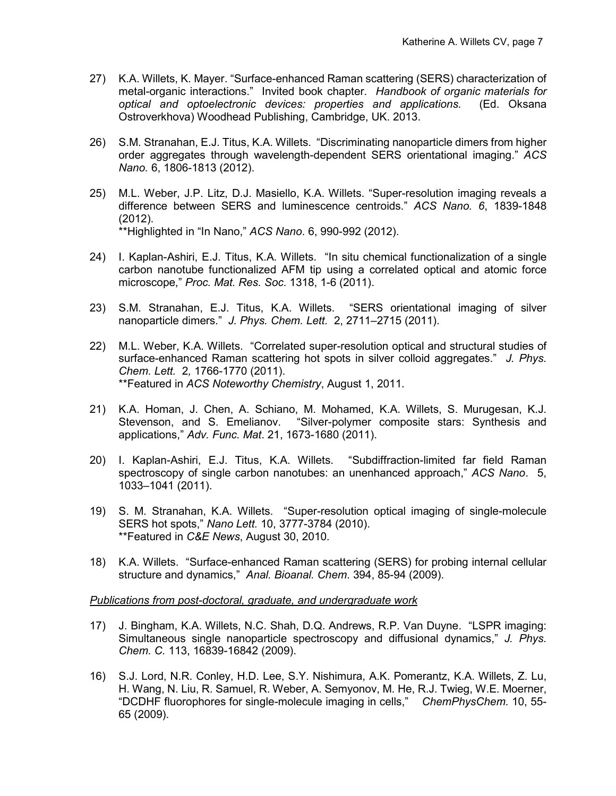- 27) K.A. Willets, K. Mayer. "Surface-enhanced Raman scattering (SERS) characterization of metal-organic interactions." Invited book chapter. *Handbook of organic materials for optical and optoelectronic devices: properties and applications.* (Ed. Oksana Ostroverkhova) Woodhead Publishing, Cambridge, UK. 2013.
- 26) S.M. Stranahan, E.J. Titus, K.A. Willets. "Discriminating nanoparticle dimers from higher order aggregates through wavelength-dependent SERS orientational imaging." *ACS Nano.* 6, 1806-1813 (2012).
- 25) M.L. Weber, J.P. Litz, D.J. Masiello, K.A. Willets. "Super-resolution imaging reveals a difference between SERS and luminescence centroids." *ACS Nano. 6*, 1839-1848 (2012). \*\*Highlighted in "In Nano," *ACS Nano*. 6, 990-992 (2012).
- 24) I. Kaplan-Ashiri, E.J. Titus, K.A. Willets. "In situ chemical functionalization of a single carbon nanotube functionalized AFM tip using a correlated optical and atomic force microscope," *Proc. Mat. Res. Soc*. 1318, 1-6 (2011).
- 23) S.M. Stranahan, E.J. Titus, K.A. Willets. "SERS orientational imaging of silver nanoparticle dimers." *J. Phys. Chem. Lett.* 2, 2711–2715 (2011).
- 22) M.L. Weber, K.A. Willets. "Correlated super-resolution optical and structural studies of surface-enhanced Raman scattering hot spots in silver colloid aggregates." *J. Phys. Chem. Lett.* 2*,* 1766-1770 (2011). \*\*Featured in *ACS Noteworthy Chemistry*, August 1, 2011.
- 21) K.A. Homan, J. Chen, A. Schiano, M. Mohamed, K.A. Willets, S. Murugesan, K.J. Stevenson, and S. Emelianov. "Silver-polymer composite stars: Synthesis and applications," *Adv. Func. Mat*. 21, 1673-1680 (2011).
- 20) I. Kaplan-Ashiri, E.J. Titus, K.A. Willets. "Subdiffraction-limited far field Raman spectroscopy of single carbon nanotubes: an unenhanced approach," *ACS Nano*. 5, 1033–1041 (2011).
- 19) S. M. Stranahan, K.A. Willets. "Super-resolution optical imaging of single-molecule SERS hot spots," *Nano Lett.* 10, 3777-3784 (2010). \*\*Featured in *C&E News*, August 30, 2010.
- 18) K.A. Willets. "Surface-enhanced Raman scattering (SERS) for probing internal cellular structure and dynamics," *Anal. Bioanal. Chem*. 394, 85-94 (2009).

#### *Publications from post-doctoral, graduate, and undergraduate work*

- 17) J. Bingham, K.A. Willets, N.C. Shah, D.Q. Andrews, R.P. Van Duyne. "LSPR imaging: Simultaneous single nanoparticle spectroscopy and diffusional dynamics," *J. Phys. Chem. C.* 113, 16839-16842 (2009).
- 16) S.J. Lord, N.R. Conley, H.D. Lee, S.Y. Nishimura, A.K. Pomerantz, K.A. Willets, Z. Lu, H. Wang, N. Liu, R. Samuel, R. Weber, A. Semyonov, M. He, R.J. Twieg, W.E. Moerner, "DCDHF fluorophores for single-molecule imaging in cells," *ChemPhysChem.* 10, 55- 65 (2009).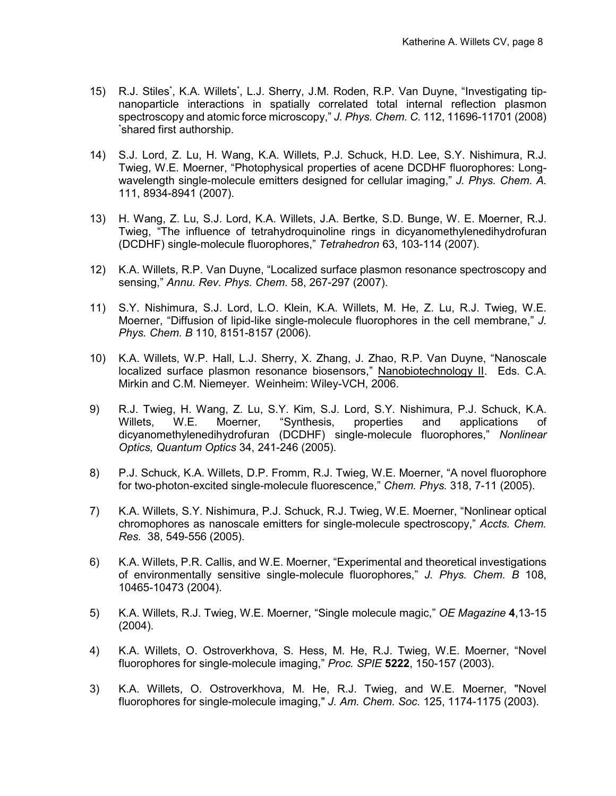- 15) R.J. Stiles\* , K.A. Willets\* , L.J. Sherry, J.M. Roden, R.P. Van Duyne, "Investigating tipnanoparticle interactions in spatially correlated total internal reflection plasmon spectroscopy and atomic force microscopy," *J. Phys. Chem. C.* 112, 11696-11701 (2008) \* shared first authorship.
- 14) S.J. Lord, Z. Lu, H. Wang, K.A. Willets, P.J. Schuck, H.D. Lee, S.Y. Nishimura, R.J. Twieg, W.E. Moerner, "Photophysical properties of acene DCDHF fluorophores: Longwavelength single-molecule emitters designed for cellular imaging," *J. Phys. Chem. A.*  111, 8934-8941 (2007).
- 13) H. Wang, Z. Lu, S.J. Lord, K.A. Willets, J.A. Bertke, S.D. Bunge, W. E. Moerner, R.J. Twieg, "The influence of tetrahydroquinoline rings in dicyanomethylenedihydrofuran (DCDHF) single-molecule fluorophores," *Tetrahedron* 63, 103-114 (2007).
- 12) K.A. Willets, R.P. Van Duyne, "Localized surface plasmon resonance spectroscopy and sensing," *Annu. Rev. Phys. Chem.* 58, 267-297 (2007).
- 11) S.Y. Nishimura, S.J. Lord, L.O. Klein, K.A. Willets, M. He, Z. Lu, R.J. Twieg, W.E. Moerner, "Diffusion of lipid-like single-molecule fluorophores in the cell membrane," *J. Phys. Chem. B* 110, 8151-8157 (2006).
- 10) K.A. Willets, W.P. Hall, L.J. Sherry, X. Zhang, J. Zhao, R.P. Van Duyne, "Nanoscale localized surface plasmon resonance biosensors," Nanobiotechnology II. Eds. C.A. Mirkin and C.M. Niemeyer. Weinheim: Wiley-VCH, 2006.
- 9) R.J. Twieg, H. Wang, Z. Lu, S.Y. Kim, S.J. Lord, S.Y. Nishimura, P.J. Schuck, K.A. Willets, W.E. Moerner, "Synthesis, properties and applications of dicyanomethylenedihydrofuran (DCDHF) single-molecule fluorophores," *Nonlinear Optics, Quantum Optics* 34, 241-246 (2005).
- 8) P.J. Schuck, K.A. Willets, D.P. Fromm, R.J. Twieg, W.E. Moerner, "A novel fluorophore for two-photon-excited single-molecule fluorescence," *Chem. Phys.* 318, 7-11 (2005).
- 7) K.A. Willets, S.Y. Nishimura, P.J. Schuck, R.J. Twieg, W.E. Moerner, "Nonlinear optical chromophores as nanoscale emitters for single-molecule spectroscopy," *Accts. Chem. Res.* 38, 549-556 (2005).
- 6) K.A. Willets, P.R. Callis, and W.E. Moerner, "Experimental and theoretical investigations of environmentally sensitive single-molecule fluorophores," *J. Phys. Chem. B* 108, 10465-10473 (2004).
- 5) K.A. Willets, R.J. Twieg, W.E. Moerner, "Single molecule magic," *OE Magazine* **4**,13-15 (2004).
- 4) K.A. Willets, O. Ostroverkhova, S. Hess, M. He, R.J. Twieg, W.E. Moerner, "Novel fluorophores for single-molecule imaging," *Proc. SPIE* **5222**, 150-157 (2003).
- 3) K.A. Willets, O. Ostroverkhova, M. He, R.J. Twieg, and W.E. Moerner, "Novel fluorophores for single-molecule imaging," *J. Am. Chem. Soc.* 125, 1174-1175 (2003).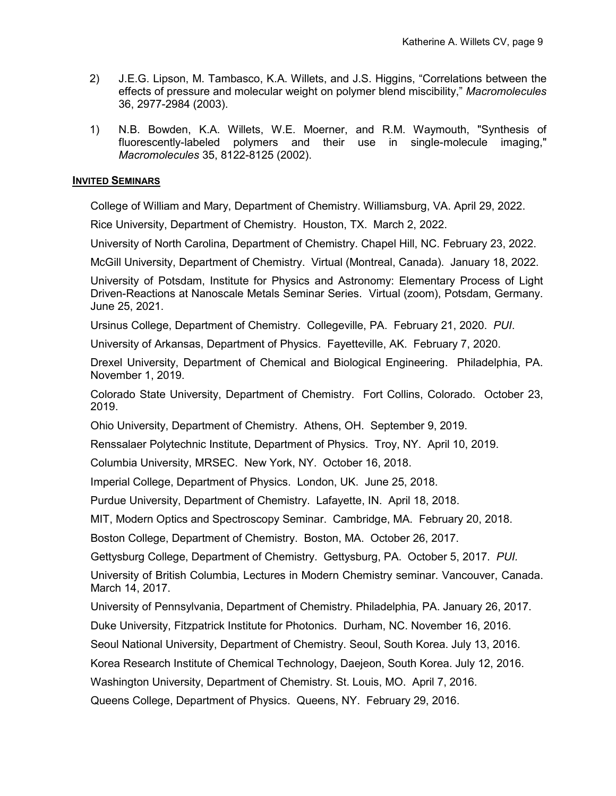- 2) J.E.G. Lipson, M. Tambasco, K.A. Willets, and J.S. Higgins, "Correlations between the effects of pressure and molecular weight on polymer blend miscibility," *Macromolecules* 36, 2977-2984 (2003).
- 1) N.B. Bowden, K.A. Willets, W.E. Moerner, and R.M. Waymouth, "Synthesis of fluorescently-labeled polymers and their use in single-molecule imaging," *Macromolecules* 35, 8122-8125 (2002).

### **INVITED SEMINARS**

College of William and Mary, Department of Chemistry. Williamsburg, VA. April 29, 2022.

Rice University, Department of Chemistry. Houston, TX. March 2, 2022.

University of North Carolina, Department of Chemistry. Chapel Hill, NC. February 23, 2022.

McGill University, Department of Chemistry. Virtual (Montreal, Canada). January 18, 2022.

University of Potsdam, Institute for Physics and Astronomy: Elementary Process of Light Driven-Reactions at Nanoscale Metals Seminar Series. Virtual (zoom), Potsdam, Germany. June 25, 2021.

Ursinus College, Department of Chemistry. Collegeville, PA. February 21, 2020. *PUI*.

University of Arkansas, Department of Physics. Fayetteville, AK. February 7, 2020.

Drexel University, Department of Chemical and Biological Engineering. Philadelphia, PA. November 1, 2019.

Colorado State University, Department of Chemistry. Fort Collins, Colorado. October 23, 2019.

Ohio University, Department of Chemistry. Athens, OH. September 9, 2019.

Renssalaer Polytechnic Institute, Department of Physics. Troy, NY. April 10, 2019.

Columbia University, MRSEC. New York, NY. October 16, 2018.

Imperial College, Department of Physics. London, UK. June 25, 2018.

Purdue University, Department of Chemistry. Lafayette, IN. April 18, 2018.

MIT, Modern Optics and Spectroscopy Seminar. Cambridge, MA. February 20, 2018.

Boston College, Department of Chemistry. Boston, MA. October 26, 2017.

Gettysburg College, Department of Chemistry. Gettysburg, PA. October 5, 2017. *PUI.*

University of British Columbia, Lectures in Modern Chemistry seminar. Vancouver, Canada. March 14, 2017.

University of Pennsylvania, Department of Chemistry. Philadelphia, PA. January 26, 2017.

Duke University, Fitzpatrick Institute for Photonics. Durham, NC. November 16, 2016.

Seoul National University, Department of Chemistry. Seoul, South Korea. July 13, 2016.

Korea Research Institute of Chemical Technology, Daejeon, South Korea. July 12, 2016.

Washington University, Department of Chemistry. St. Louis, MO. April 7, 2016.

Queens College, Department of Physics. Queens, NY. February 29, 2016.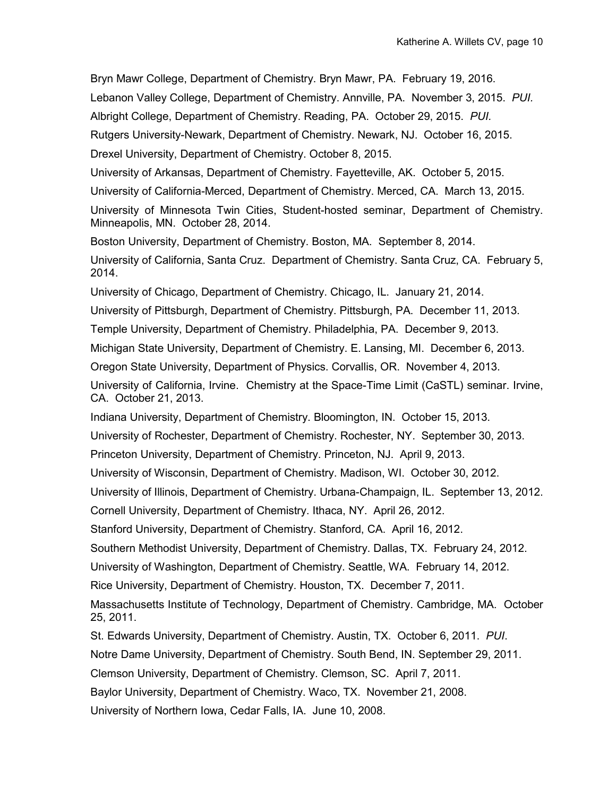Bryn Mawr College, Department of Chemistry. Bryn Mawr, PA. February 19, 2016. Lebanon Valley College, Department of Chemistry. Annville, PA. November 3, 2015. *PUI.* Albright College, Department of Chemistry. Reading, PA. October 29, 2015. *PUI.* Rutgers University-Newark, Department of Chemistry. Newark, NJ. October 16, 2015. Drexel University, Department of Chemistry. October 8, 2015. University of Arkansas, Department of Chemistry. Fayetteville, AK. October 5, 2015. University of California-Merced, Department of Chemistry. Merced, CA. March 13, 2015. University of Minnesota Twin Cities, Student-hosted seminar, Department of Chemistry. Minneapolis, MN. October 28, 2014. Boston University, Department of Chemistry. Boston, MA. September 8, 2014. University of California, Santa Cruz. Department of Chemistry. Santa Cruz, CA. February 5, 2014. University of Chicago, Department of Chemistry. Chicago, IL. January 21, 2014. University of Pittsburgh, Department of Chemistry. Pittsburgh, PA. December 11, 2013. Temple University, Department of Chemistry. Philadelphia, PA. December 9, 2013. Michigan State University, Department of Chemistry. E. Lansing, MI. December 6, 2013. Oregon State University, Department of Physics. Corvallis, OR. November 4, 2013. University of California, Irvine. Chemistry at the Space-Time Limit (CaSTL) seminar. Irvine, CA. October 21, 2013. Indiana University, Department of Chemistry. Bloomington, IN. October 15, 2013. University of Rochester, Department of Chemistry. Rochester, NY. September 30, 2013. Princeton University, Department of Chemistry. Princeton, NJ. April 9, 2013. University of Wisconsin, Department of Chemistry. Madison, WI. October 30, 2012. University of Illinois, Department of Chemistry. Urbana-Champaign, IL. September 13, 2012. Cornell University, Department of Chemistry. Ithaca, NY. April 26, 2012. Stanford University, Department of Chemistry. Stanford, CA. April 16, 2012. Southern Methodist University, Department of Chemistry. Dallas, TX. February 24, 2012. University of Washington, Department of Chemistry. Seattle, WA. February 14, 2012. Rice University, Department of Chemistry. Houston, TX. December 7, 2011. Massachusetts Institute of Technology, Department of Chemistry. Cambridge, MA. October 25, 2011. St. Edwards University, Department of Chemistry. Austin, TX. October 6, 2011. *PUI*. Notre Dame University, Department of Chemistry. South Bend, IN. September 29, 2011. Clemson University, Department of Chemistry. Clemson, SC. April 7, 2011. Baylor University, Department of Chemistry. Waco, TX. November 21, 2008. University of Northern Iowa, Cedar Falls, IA. June 10, 2008.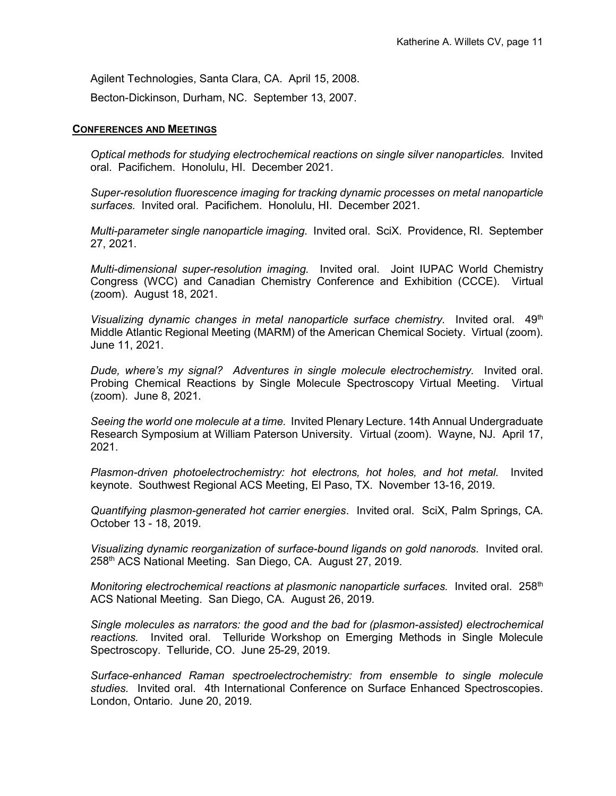Agilent Technologies, Santa Clara, CA. April 15, 2008.

Becton-Dickinson, Durham, NC. September 13, 2007.

## **CONFERENCES AND MEETINGS**

*Optical methods for studying electrochemical reactions on single silver nanoparticles.* Invited oral. Pacifichem. Honolulu, HI. December 2021.

*Super-resolution fluorescence imaging for tracking dynamic processes on metal nanoparticle surfaces.* Invited oral. Pacifichem. Honolulu, HI. December 2021.

*Multi-parameter single nanoparticle imaging.* Invited oral. SciX. Providence, RI. September 27, 2021.

*Multi-dimensional super-resolution imaging.* Invited oral. Joint IUPAC World Chemistry Congress (WCC) and Canadian Chemistry Conference and Exhibition (CCCE). Virtual (zoom). August 18, 2021.

Visualizing dynamic changes in metal nanoparticle surface chemistry. Invited oral. 49<sup>th</sup> Middle Atlantic Regional Meeting (MARM) of the American Chemical Society. Virtual (zoom). June 11, 2021.

*Dude, where's my signal? Adventures in single molecule electrochemistry.* Invited oral. Probing Chemical Reactions by Single Molecule Spectroscopy Virtual Meeting. Virtual (zoom). June 8, 2021.

*Seeing the world one molecule at a time.* Invited Plenary Lecture. 14th Annual Undergraduate Research Symposium at William Paterson University. Virtual (zoom). Wayne, NJ. April 17, 2021.

*Plasmon-driven photoelectrochemistry: hot electrons, hot holes, and hot metal.* Invited keynote. Southwest Regional ACS Meeting, El Paso, TX. November 13-16, 2019.

*Quantifying plasmon-generated hot carrier energies*. Invited oral. SciX, Palm Springs, CA. October 13 - 18, 2019.

*Visualizing dynamic reorganization of surface-bound ligands on gold nanorods.* Invited oral. 258th ACS National Meeting. San Diego, CA. August 27, 2019.

*Monitoring electrochemical reactions at plasmonic nanoparticle surfaces.* Invited oral. 258<sup>th</sup> ACS National Meeting. San Diego, CA. August 26, 2019.

*Single molecules as narrators: the good and the bad for (plasmon-assisted) electrochemical reactions.* Invited oral. Telluride Workshop on Emerging Methods in Single Molecule Spectroscopy. Telluride, CO. June 25-29, 2019.

*Surface-enhanced Raman spectroelectrochemistry: from ensemble to single molecule studies.* Invited oral. 4th International Conference on Surface Enhanced Spectroscopies. London, Ontario. June 20, 2019.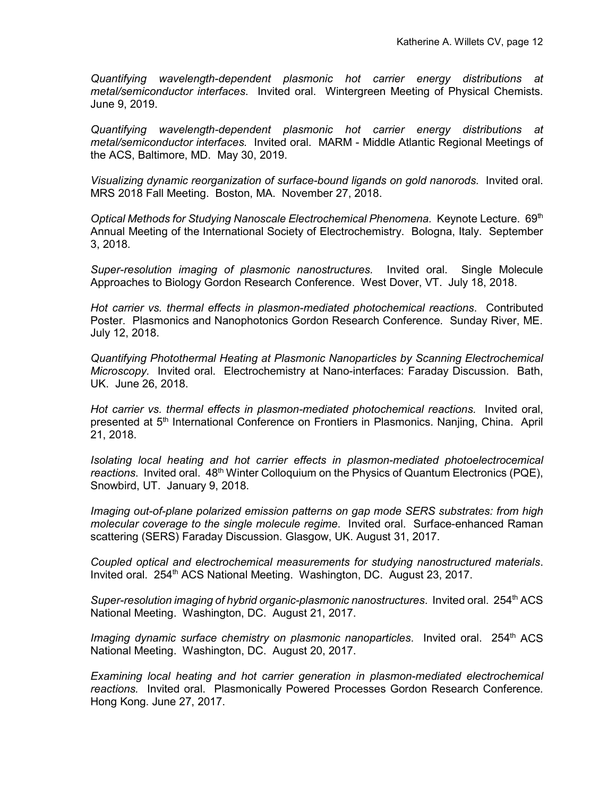*Quantifying wavelength-dependent plasmonic hot carrier energy distributions at metal/semiconductor interfaces*. Invited oral. Wintergreen Meeting of Physical Chemists. June 9, 2019.

*Quantifying wavelength-dependent plasmonic hot carrier energy distributions at metal/semiconductor interfaces.* Invited oral. MARM - Middle Atlantic Regional Meetings of the ACS, Baltimore, MD. May 30, 2019.

*Visualizing dynamic reorganization of surface-bound ligands on gold nanorods.* Invited oral. MRS 2018 Fall Meeting. Boston, MA. November 27, 2018.

*Optical Methods for Studying Nanoscale Electrochemical Phenomena. Keynote Lecture. 69th* Annual Meeting of the International Society of Electrochemistry. Bologna, Italy. September 3, 2018.

*Super-resolution imaging of plasmonic nanostructures.* Invited oral. Single Molecule Approaches to Biology Gordon Research Conference. West Dover, VT. July 18, 2018.

*Hot carrier vs. thermal effects in plasmon-mediated photochemical reactions*. Contributed Poster. Plasmonics and Nanophotonics Gordon Research Conference. Sunday River, ME. July 12, 2018.

*Quantifying Photothermal Heating at Plasmonic Nanoparticles by Scanning Electrochemical Microscopy.* Invited oral. Electrochemistry at Nano-interfaces: Faraday Discussion. Bath, UK. June 26, 2018.

Hot carrier vs. thermal effects in plasmon-mediated photochemical reactions. Invited oral, presented at 5<sup>th</sup> International Conference on Frontiers in Plasmonics. Nanjing, China. April 21, 2018.

*Isolating local heating and hot carrier effects in plasmon-mediated photoelectrocemical*  reactions. Invited oral. 48<sup>th</sup> Winter Colloquium on the Physics of Quantum Electronics (PQE), Snowbird, UT. January 9, 2018.

*Imaging out-of-plane polarized emission patterns on gap mode SERS substrates: from high molecular coverage to the single molecule regime*. Invited oral. Surface-enhanced Raman scattering (SERS) Faraday Discussion. Glasgow, UK. August 31, 2017.

*Coupled optical and electrochemical measurements for studying nanostructured materials*. Invited oral. 254<sup>th</sup> ACS National Meeting. Washington, DC. August 23, 2017.

*Super-resolution imaging of hybrid organic-plasmonic nanostructures.* Invited oral. 254<sup>th</sup> ACS National Meeting. Washington, DC. August 21, 2017.

*Imaging dynamic surface chemistry on plasmonic nanoparticles*. Invited oral. 254<sup>th</sup> ACS National Meeting. Washington, DC. August 20, 2017.

*Examining local heating and hot carrier generation in plasmon-mediated electrochemical reactions.* Invited oral. Plasmonically Powered Processes Gordon Research Conference. Hong Kong. June 27, 2017.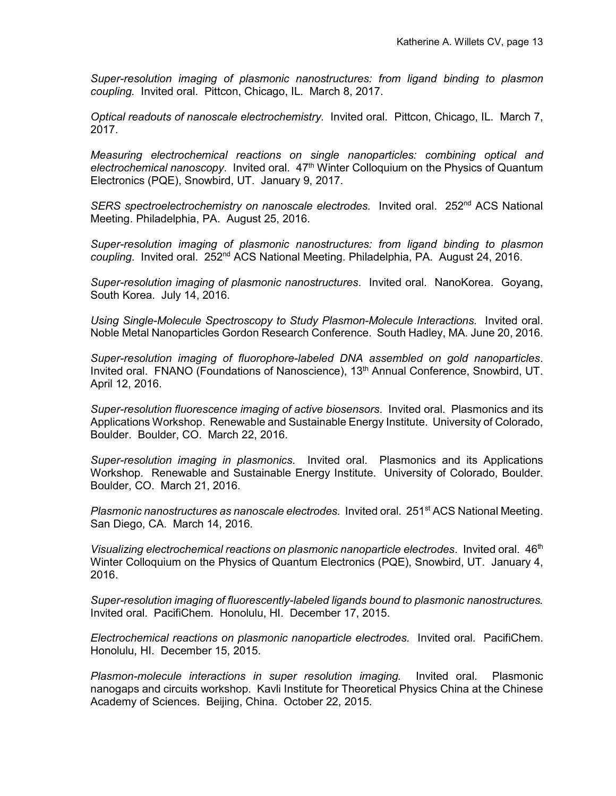*Super-resolution imaging of plasmonic nanostructures: from ligand binding to plasmon coupling.* Invited oral. Pittcon, Chicago, IL. March 8, 2017.

*Optical readouts of nanoscale electrochemistry.* Invited oral. Pittcon, Chicago, IL. March 7, 2017.

*Measuring electrochemical reactions on single nanoparticles: combining optical and electrochemical nanoscopy*. Invited oral. 47th Winter Colloquium on the Physics of Quantum Electronics (PQE), Snowbird, UT. January 9, 2017.

SERS spectroelectrochemistry on nanoscale electrodes. Invited oral. 252<sup>nd</sup> ACS National Meeting. Philadelphia, PA. August 25, 2016.

*Super-resolution imaging of plasmonic nanostructures: from ligand binding to plasmon coupling*. Invited oral. 252nd ACS National Meeting. Philadelphia, PA. August 24, 2016.

*Super-resolution imaging of plasmonic nanostructures*. Invited oral. NanoKorea. Goyang, South Korea. July 14, 2016.

*Using Single-Molecule Spectroscopy to Study Plasmon-Molecule Interactions.* Invited oral. Noble Metal Nanoparticles Gordon Research Conference. South Hadley, MA. June 20, 2016.

*Super-resolution imaging of fluorophore-labeled DNA assembled on gold nanoparticles*. Invited oral. FNANO (Foundations of Nanoscience), 13<sup>th</sup> Annual Conference, Snowbird, UT. April 12, 2016.

*Super-resolution fluorescence imaging of active biosensors*. Invited oral. Plasmonics and its Applications Workshop. Renewable and Sustainable Energy Institute. University of Colorado, Boulder. Boulder, CO. March 22, 2016.

*Super-resolution imaging in plasmonics*. Invited oral. Plasmonics and its Applications Workshop. Renewable and Sustainable Energy Institute. University of Colorado, Boulder. Boulder, CO. March 21, 2016.

*Plasmonic nanostructures as nanoscale electrodes.* Invited oral. 251st ACS National Meeting. San Diego, CA. March 14, 2016.

*Visualizing electrochemical reactions on plasmonic nanoparticle electrodes.* Invited oral. 46<sup>th</sup> Winter Colloquium on the Physics of Quantum Electronics (PQE), Snowbird, UT. January 4, 2016.

*Super-resolution imaging of fluorescently-labeled ligands bound to plasmonic nanostructures.*  Invited oral. PacifiChem. Honolulu, HI. December 17, 2015.

*Electrochemical reactions on plasmonic nanoparticle electrodes.* Invited oral. PacifiChem. Honolulu, HI. December 15, 2015.

*Plasmon-molecule interactions in super resolution imaging.* Invited oral. Plasmonic nanogaps and circuits workshop. Kavli Institute for Theoretical Physics China at the Chinese Academy of Sciences. Beijing, China. October 22, 2015.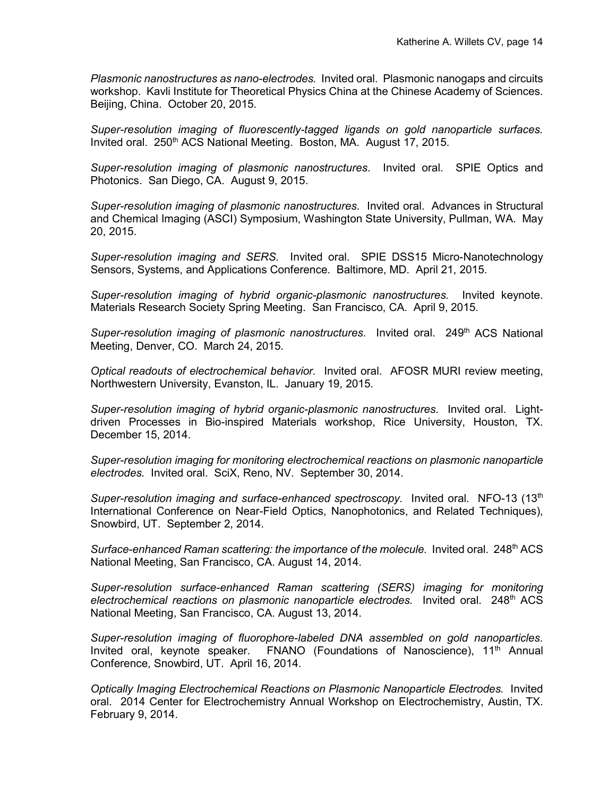*Plasmonic nanostructures as nano-electrodes.* Invited oral. Plasmonic nanogaps and circuits workshop. Kavli Institute for Theoretical Physics China at the Chinese Academy of Sciences. Beijing, China. October 20, 2015.

*Super-resolution imaging of fluorescently-tagged ligands on gold nanoparticle surfaces.* Invited oral. 250<sup>th</sup> ACS National Meeting. Boston, MA. August 17, 2015.

*Super-resolution imaging of plasmonic nanostructures*. Invited oral. SPIE Optics and Photonics. San Diego, CA. August 9, 2015.

*Super-resolution imaging of plasmonic nanostructures.* Invited oral. Advances in Structural and Chemical Imaging (ASCI) Symposium, Washington State University, Pullman, WA. May 20, 2015.

*Super-resolution imaging and SERS.* Invited oral. SPIE DSS15 Micro-Nanotechnology Sensors, Systems, and Applications Conference. Baltimore, MD. April 21, 2015.

*Super-resolution imaging of hybrid organic-plasmonic nanostructures.* Invited keynote. Materials Research Society Spring Meeting. San Francisco, CA. April 9, 2015.

*Super-resolution imaging of plasmonic nanostructures.* Invited oral. 249<sup>th</sup> ACS National Meeting, Denver, CO. March 24, 2015.

*Optical readouts of electrochemical behavior.* Invited oral. AFOSR MURI review meeting, Northwestern University, Evanston, IL. January 19, 2015.

*Super-resolution imaging of hybrid organic-plasmonic nanostructures*. Invited oral. Lightdriven Processes in Bio-inspired Materials workshop, Rice University, Houston, TX. December 15, 2014.

*Super-resolution imaging for monitoring electrochemical reactions on plasmonic nanoparticle electrodes.* Invited oral. SciX, Reno, NV. September 30, 2014.

*Super-resolution imaging and surface-enhanced spectroscopy.* Invited oral. NFO-13 (13<sup>th</sup> International Conference on Near-Field Optics, Nanophotonics, and Related Techniques), Snowbird, UT. September 2, 2014.

Surface-enhanced Raman scattering: the importance of the molecule. Invited oral. 248<sup>th</sup> ACS National Meeting, San Francisco, CA. August 14, 2014.

*Super-resolution surface-enhanced Raman scattering (SERS) imaging for monitoring electrochemical reactions on plasmonic nanoparticle electrodes.* Invited oral. 248th ACS National Meeting, San Francisco, CA. August 13, 2014.

*Super-resolution imaging of fluorophore-labeled DNA assembled on gold nanoparticles.* Invited oral, keynote speaker.  $FNANO$  (Foundations of Nanoscience), 11<sup>th</sup> Annual Conference, Snowbird, UT. April 16, 2014.

*Optically Imaging Electrochemical Reactions on Plasmonic Nanoparticle Electrodes.* Invited oral. 2014 Center for Electrochemistry Annual Workshop on Electrochemistry, Austin, TX. February 9, 2014.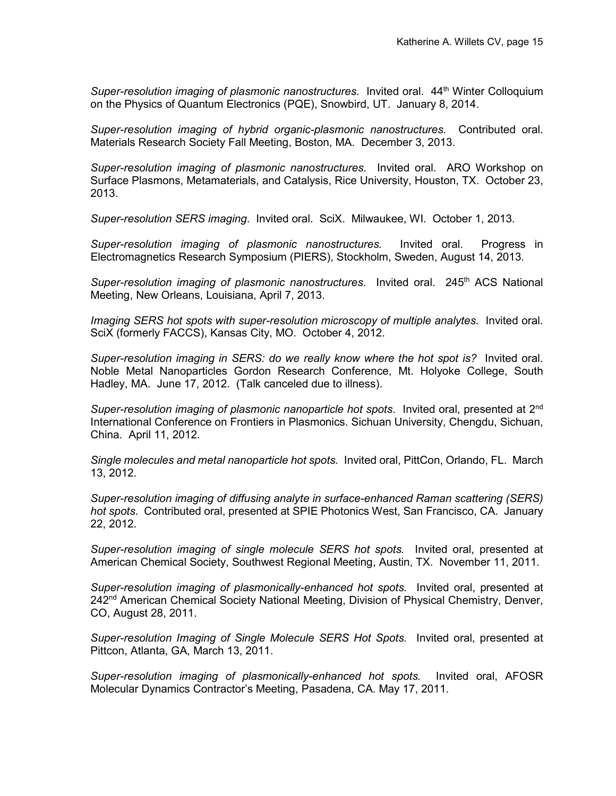*Super-resolution imaging of plasmonic nanostructures.* Invited oral. 44<sup>th</sup> Winter Colloquium on the Physics of Quantum Electronics (PQE), Snowbird, UT. January 8, 2014.

*Super-resolution imaging of hybrid organic-plasmonic nanostructures.* Contributed oral. Materials Research Society Fall Meeting, Boston, MA. December 3, 2013.

*Super-resolution imaging of plasmonic nanostructures.* Invited oral. ARO Workshop on Surface Plasmons, Metamaterials, and Catalysis, Rice University, Houston, TX. October 23, 2013.

*Super-resolution SERS imaging*. Invited oral. SciX. Milwaukee, WI. October 1, 2013.

*Super-resolution imaging of plasmonic nanostructures.* Invited oral. Progress in Electromagnetics Research Symposium (PIERS), Stockholm, Sweden, August 14, 2013.

*Super-resolution imaging of plasmonic nanostructures.* Invited oral. 245<sup>th</sup> ACS National Meeting, New Orleans, Louisiana, April 7, 2013.

*Imaging SERS hot spots with super-resolution microscopy of multiple analytes.* Invited oral. SciX (formerly FACCS), Kansas City, MO. October 4, 2012.

*Super-resolution imaging in SERS: do we really know where the hot spot is?* Invited oral. Noble Metal Nanoparticles Gordon Research Conference, Mt. Holyoke College, South Hadley, MA. June 17, 2012. (Talk canceled due to illness).

*Super-resolution imaging of plasmonic nanoparticle hot spots*. Invited oral, presented at 2nd International Conference on Frontiers in Plasmonics. Sichuan University, Chengdu, Sichuan, China. April 11, 2012.

*Single molecules and metal nanoparticle hot spots.* Invited oral, PittCon, Orlando, FL. March 13, 2012.

*Super-resolution imaging of diffusing analyte in surface-enhanced Raman scattering (SERS) hot spots.* Contributed oral, presented at SPIE Photonics West, San Francisco, CA. January 22, 2012.

*Super-resolution imaging of single molecule SERS hot spots.* Invited oral, presented at American Chemical Society, Southwest Regional Meeting, Austin, TX. November 11, 2011.

*Super-resolution imaging of plasmonically-enhanced hot spots.* Invited oral, presented at 242<sup>nd</sup> American Chemical Society National Meeting, Division of Physical Chemistry, Denver, CO, August 28, 2011.

*Super-resolution Imaging of Single Molecule SERS Hot Spots.* Invited oral, presented at Pittcon, Atlanta, GA, March 13, 2011.

*Super-resolution imaging of plasmonically-enhanced hot spots.* Invited oral, AFOSR Molecular Dynamics Contractor's Meeting, Pasadena, CA. May 17, 2011.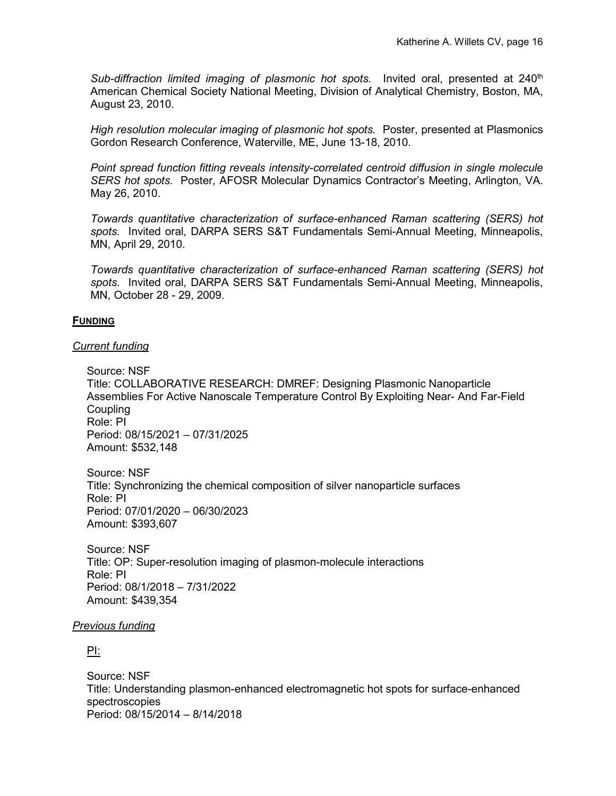*Sub-diffraction limited imaging of plasmonic hot spots.* Invited oral, presented at 240<sup>th</sup> American Chemical Society National Meeting, Division of Analytical Chemistry, Boston, MA, August 23, 2010.

*High resolution molecular imaging of plasmonic hot spots.* Poster, presented at Plasmonics Gordon Research Conference, Waterville, ME, June 13-18, 2010.

*Point spread function fitting reveals intensity-correlated centroid diffusion in single molecule SERS hot spots.* Poster, AFOSR Molecular Dynamics Contractor's Meeting, Arlington, VA. May 26, 2010.

*Towards quantitative characterization of surface-enhanced Raman scattering (SERS) hot spots.* Invited oral, DARPA SERS S&T Fundamentals Semi-Annual Meeting, Minneapolis, MN, April 29, 2010.

*Towards quantitative characterization of surface-enhanced Raman scattering (SERS) hot spots.* Invited oral, DARPA SERS S&T Fundamentals Semi-Annual Meeting, Minneapolis, MN, October 28 - 29, 2009.

## **FUNDING**

## *Current funding*

Source: NSF Title: COLLABORATIVE RESEARCH: DMREF: Designing Plasmonic Nanoparticle Assemblies For Active Nanoscale Temperature Control By Exploiting Near- And Far-Field **Coupling** Role: PI Period: 08/15/2021 – 07/31/2025 Amount: \$532,148

Source: NSF Title: Synchronizing the chemical composition of silver nanoparticle surfaces Role: PI Period: 07/01/2020 – 06/30/2023 Amount: \$393,607

Source: NSF Title: OP: Super-resolution imaging of plasmon-molecule interactions Role: PI Period: 08/1/2018 – 7/31/2022 Amount: \$439,354

#### *Previous funding*

PI:

Source: NSF Title: Understanding plasmon-enhanced electromagnetic hot spots for surface-enhanced spectroscopies Period: 08/15/2014 – 8/14/2018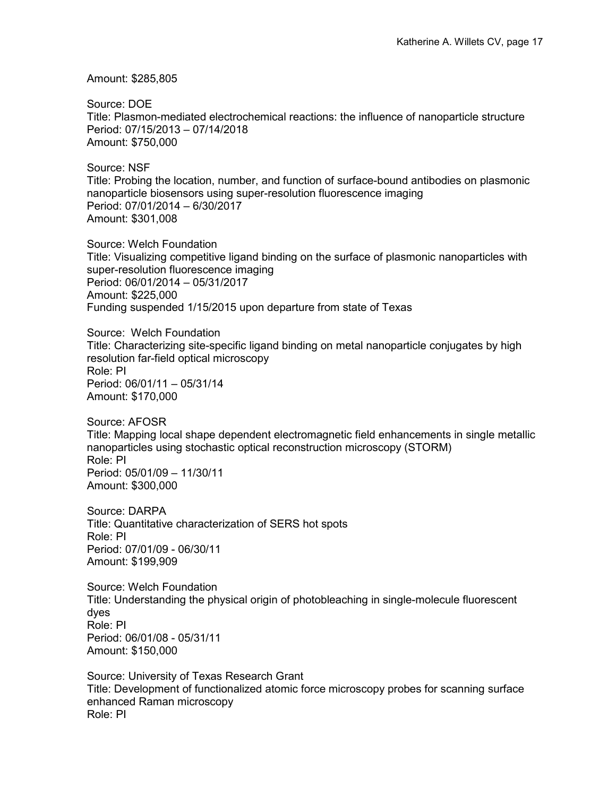Amount: \$285,805

Source: DOE Title: Plasmon-mediated electrochemical reactions: the influence of nanoparticle structure Period: 07/15/2013 – 07/14/2018 Amount: \$750,000

Source: NSF Title: Probing the location, number, and function of surface-bound antibodies on plasmonic nanoparticle biosensors using super-resolution fluorescence imaging Period: 07/01/2014 – 6/30/2017 Amount: \$301,008

Source: Welch Foundation Title: Visualizing competitive ligand binding on the surface of plasmonic nanoparticles with super-resolution fluorescence imaging Period: 06/01/2014 – 05/31/2017 Amount: \$225,000 Funding suspended 1/15/2015 upon departure from state of Texas

Source: Welch Foundation Title: Characterizing site-specific ligand binding on metal nanoparticle conjugates by high resolution far-field optical microscopy Role: PI Period: 06/01/11 – 05/31/14 Amount: \$170,000

Source: AFOSR Title: Mapping local shape dependent electromagnetic field enhancements in single metallic nanoparticles using stochastic optical reconstruction microscopy (STORM) Role: PI Period: 05/01/09 – 11/30/11 Amount: \$300,000

Source: DARPA Title: Quantitative characterization of SERS hot spots Role: PI Period: 07/01/09 - 06/30/11 Amount: \$199,909

Source: Welch Foundation Title: Understanding the physical origin of photobleaching in single-molecule fluorescent dyes Role: PI Period: 06/01/08 - 05/31/11 Amount: \$150,000

Source: University of Texas Research Grant Title: Development of functionalized atomic force microscopy probes for scanning surface enhanced Raman microscopy Role: PI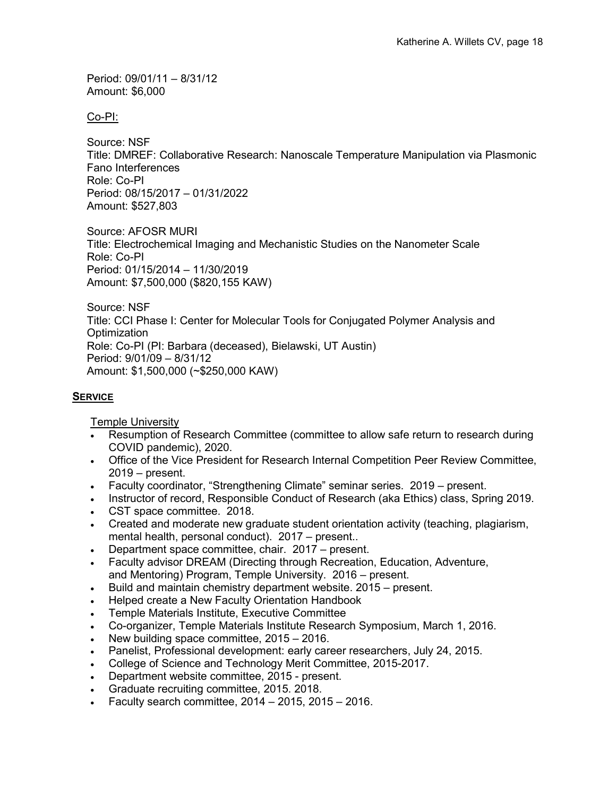Period: 09/01/11 – 8/31/12 Amount: \$6,000

Co-PI:

Source: NSF Title: DMREF: Collaborative Research: Nanoscale Temperature Manipulation via Plasmonic Fano Interferences Role: Co-PI Period: 08/15/2017 – 01/31/2022 Amount: \$527,803

Source: AFOSR MURI Title: Electrochemical Imaging and Mechanistic Studies on the Nanometer Scale Role: Co-PI Period: 01/15/2014 – 11/30/2019 Amount: \$7,500,000 (\$820,155 KAW)

Source: NSF Title: CCI Phase I: Center for Molecular Tools for Conjugated Polymer Analysis and **Optimization** Role: Co-PI (PI: Barbara (deceased), Bielawski, UT Austin) Period: 9/01/09 – 8/31/12 Amount: \$1,500,000 (~\$250,000 KAW)

## **SERVICE**

Temple University

- Resumption of Research Committee (committee to allow safe return to research during COVID pandemic), 2020.
- Office of the Vice President for Research Internal Competition Peer Review Committee, 2019 – present.
- Faculty coordinator, "Strengthening Climate" seminar series. 2019 present.
- Instructor of record, Responsible Conduct of Research (aka Ethics) class, Spring 2019.
- CST space committee. 2018.
- Created and moderate new graduate student orientation activity (teaching, plagiarism, mental health, personal conduct). 2017 – present..
- Department space committee, chair. 2017 present.
- Faculty advisor DREAM (Directing through Recreation, Education, Adventure, and Mentoring) Program, Temple University. 2016 – present.
- Build and maintain chemistry department website. 2015 present.
- Helped create a New Faculty Orientation Handbook
- Temple Materials Institute, Executive Committee
- Co-organizer, Temple Materials Institute Research Symposium, March 1, 2016.
- New building space committee, 2015 2016.
- Panelist, Professional development: early career researchers, July 24, 2015.
- College of Science and Technology Merit Committee, 2015-2017.
- Department website committee, 2015 present.
- Graduate recruiting committee, 2015. 2018.
- Faculty search committee, 2014 2015, 2015 2016.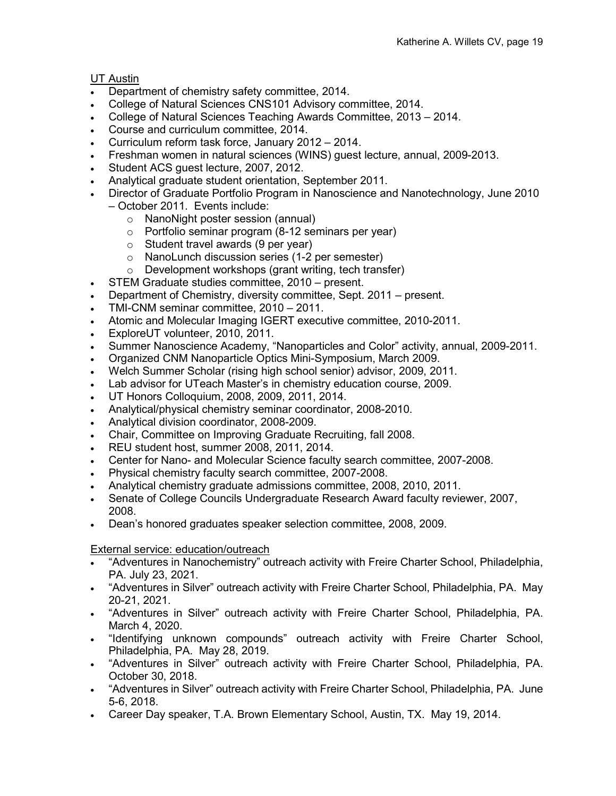## UT Austin

- Department of chemistry safety committee, 2014.
- College of Natural Sciences CNS101 Advisory committee, 2014.
- College of Natural Sciences Teaching Awards Committee, 2013 2014.
- Course and curriculum committee, 2014.
- Curriculum reform task force, January 2012 2014.
- Freshman women in natural sciences (WINS) guest lecture, annual, 2009-2013.
- Student ACS guest lecture, 2007, 2012.
- Analytical graduate student orientation, September 2011.
- Director of Graduate Portfolio Program in Nanoscience and Nanotechnology, June 2010 – October 2011. Events include:
	- o NanoNight poster session (annual)
		- o Portfolio seminar program (8-12 seminars per year)
		- $\circ$  Student travel awards (9 per year)
		- o NanoLunch discussion series (1-2 per semester)
		- o Development workshops (grant writing, tech transfer)
- STEM Graduate studies committee, 2010 present.
- Department of Chemistry, diversity committee, Sept. 2011 present.
- TMI-CNM seminar committee, 2010 2011.
- Atomic and Molecular Imaging IGERT executive committee, 2010-2011.
- ExploreUT volunteer, 2010, 2011.
- Summer Nanoscience Academy, "Nanoparticles and Color" activity, annual, 2009-2011.
- Organized CNM Nanoparticle Optics Mini-Symposium, March 2009.
- Welch Summer Scholar (rising high school senior) advisor, 2009, 2011.
- Lab advisor for UTeach Master's in chemistry education course, 2009.
- UT Honors Colloquium, 2008, 2009, 2011, 2014.
- Analytical/physical chemistry seminar coordinator, 2008-2010.
- Analytical division coordinator, 2008-2009.
- Chair, Committee on Improving Graduate Recruiting, fall 2008.
- REU student host, summer 2008, 2011, 2014.
- Center for Nano- and Molecular Science faculty search committee, 2007-2008.
- Physical chemistry faculty search committee, 2007-2008.
- Analytical chemistry graduate admissions committee, 2008, 2010, 2011.
- Senate of College Councils Undergraduate Research Award faculty reviewer, 2007, 2008.
- Dean's honored graduates speaker selection committee, 2008, 2009.

## External service: education/outreach

- "Adventures in Nanochemistry" outreach activity with Freire Charter School, Philadelphia, PA. July 23, 2021.
- "Adventures in Silver" outreach activity with Freire Charter School, Philadelphia, PA. May 20-21, 2021.
- "Adventures in Silver" outreach activity with Freire Charter School, Philadelphia, PA. March 4, 2020.
- "Identifying unknown compounds" outreach activity with Freire Charter School, Philadelphia, PA. May 28, 2019.
- "Adventures in Silver" outreach activity with Freire Charter School, Philadelphia, PA. October 30, 2018.
- "Adventures in Silver" outreach activity with Freire Charter School, Philadelphia, PA. June 5-6, 2018.
- Career Day speaker, T.A. Brown Elementary School, Austin, TX. May 19, 2014.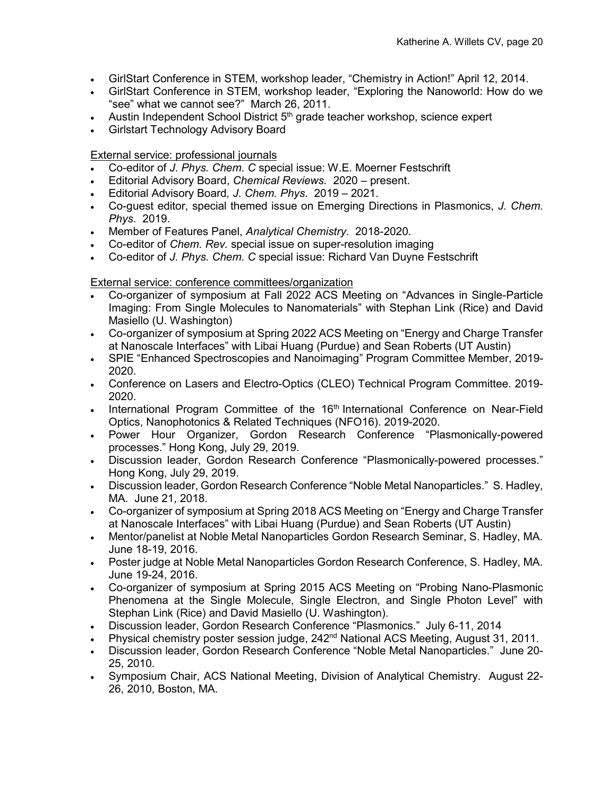- GirlStart Conference in STEM, workshop leader, "Chemistry in Action!" April 12, 2014.
- GirlStart Conference in STEM, workshop leader, "Exploring the Nanoworld: How do we "see" what we cannot see?" March 26, 2011.
- Austin Independent School District 5<sup>th</sup> grade teacher workshop, science expert
- Girlstart Technology Advisory Board

External service: professional journals

- Co-editor of *J. Phys. Chem. C* special issue: W.E. Moerner Festschrift
- Editorial Advisory Board, *Chemical Reviews.* 2020 present.
- Editorial Advisory Board*, J. Chem. Phys*. 2019 2021.
- Co-guest editor, special themed issue on Emerging Directions in Plasmonics, *J. Chem. Phys*. 2019.
- Member of Features Panel, *Analytical Chemistry*. 2018-2020.
- Co-editor of *Chem. Rev.* special issue on super-resolution imaging
- Co-editor of *J. Phys. Chem. C* special issue: Richard Van Duyne Festschrift

External service: conference committees/organization

- Co-organizer of symposium at Fall 2022 ACS Meeting on "Advances in Single-Particle Imaging: From Single Molecules to Nanomaterials" with Stephan Link (Rice) and David Masiello (U. Washington)
- Co-organizer of symposium at Spring 2022 ACS Meeting on "Energy and Charge Transfer at Nanoscale Interfaces" with Libai Huang (Purdue) and Sean Roberts (UT Austin)
- SPIE "Enhanced Spectroscopies and Nanoimaging" Program Committee Member, 2019- 2020.
- Conference on Lasers and Electro-Optics (CLEO) Technical Program Committee. 2019- 2020.
- International Program Committee of the 16<sup>th</sup> International Conference on Near-Field Optics, Nanophotonics & Related Techniques (NFO16). 2019-2020.
- Power Hour Organizer, Gordon Research Conference "Plasmonically-powered processes." Hong Kong, July 29, 2019.
- Discussion leader, Gordon Research Conference "Plasmonically-powered processes." Hong Kong, July 29, 2019.
- Discussion leader, Gordon Research Conference "Noble Metal Nanoparticles." S. Hadley, MA. June 21, 2018.
- Co-organizer of symposium at Spring 2018 ACS Meeting on "Energy and Charge Transfer at Nanoscale Interfaces" with Libai Huang (Purdue) and Sean Roberts (UT Austin)
- Mentor/panelist at Noble Metal Nanoparticles Gordon Research Seminar, S. Hadley, MA. June 18-19, 2016.
- Poster judge at Noble Metal Nanoparticles Gordon Research Conference, S. Hadley, MA. June 19-24, 2016.
- Co-organizer of symposium at Spring 2015 ACS Meeting on "Probing Nano-Plasmonic Phenomena at the Single Molecule, Single Electron, and Single Photon Level" with Stephan Link (Rice) and David Masiello (U. Washington).
- Discussion leader, Gordon Research Conference "Plasmonics." July 6-11, 2014
- Physical chemistry poster session judge, 242<sup>nd</sup> National ACS Meeting, August 31, 2011.
- Discussion leader, Gordon Research Conference "Noble Metal Nanoparticles." June 20- 25, 2010.
- Symposium Chair, ACS National Meeting, Division of Analytical Chemistry. August 22- 26, 2010, Boston, MA.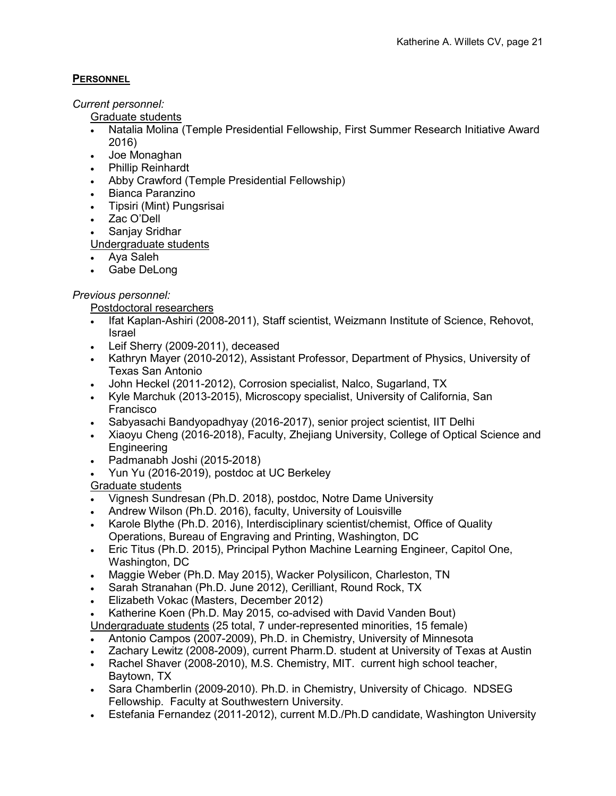## **PERSONNEL**

*Current personnel:*

Graduate students

- Natalia Molina (Temple Presidential Fellowship, First Summer Research Initiative Award 2016)
- Joe Monaghan
- Phillip Reinhardt
- Abby Crawford (Temple Presidential Fellowship)
- Bianca Paranzino
- Tipsiri (Mint) Pungsrisai
- Zac O'Dell

• Sanjay Sridhar

Undergraduate students

- Aya Saleh
- Gabe DeLong

# *Previous personnel:*

Postdoctoral researchers

- Ifat Kaplan-Ashiri (2008-2011), Staff scientist, Weizmann Institute of Science, Rehovot, Israel
- Leif Sherry (2009-2011), deceased
- Kathryn Mayer (2010-2012), Assistant Professor, Department of Physics, University of Texas San Antonio
- John Heckel (2011-2012), Corrosion specialist, Nalco, Sugarland, TX
- Kyle Marchuk (2013-2015), Microscopy specialist, University of California, San Francisco
- Sabyasachi Bandyopadhyay (2016-2017), senior project scientist, IIT Delhi
- Xiaoyu Cheng (2016-2018), Faculty, Zhejiang University, College of Optical Science and **Engineering**
- Padmanabh Joshi (2015-2018)
- Yun Yu (2016-2019), postdoc at UC Berkeley

# Graduate students

- Vignesh Sundresan (Ph.D. 2018), postdoc, Notre Dame University
- Andrew Wilson (Ph.D. 2016), faculty, University of Louisville
- Karole Blythe (Ph.D. 2016), Interdisciplinary scientist/chemist, Office of Quality Operations, Bureau of Engraving and Printing, Washington, DC
- Eric Titus (Ph.D. 2015), Principal Python Machine Learning Engineer, Capitol One, Washington, DC
- Maggie Weber (Ph.D. May 2015), Wacker Polysilicon, Charleston, TN
- Sarah Stranahan (Ph.D. June 2012), Cerilliant, Round Rock, TX
- Elizabeth Vokac (Masters, December 2012)
- Katherine Koen (Ph.D. May 2015, co-advised with David Vanden Bout)
- Undergraduate students (25 total, 7 under-represented minorities, 15 female)
- Antonio Campos (2007-2009), Ph.D. in Chemistry, University of Minnesota
- Zachary Lewitz (2008-2009), current Pharm.D. student at University of Texas at Austin
- Rachel Shaver (2008-2010), M.S. Chemistry, MIT. current high school teacher, Baytown, TX
- Sara Chamberlin (2009-2010). Ph.D. in Chemistry, University of Chicago. NDSEG Fellowship. Faculty at Southwestern University.
- Estefania Fernandez (2011-2012), current M.D./Ph.D candidate, Washington University